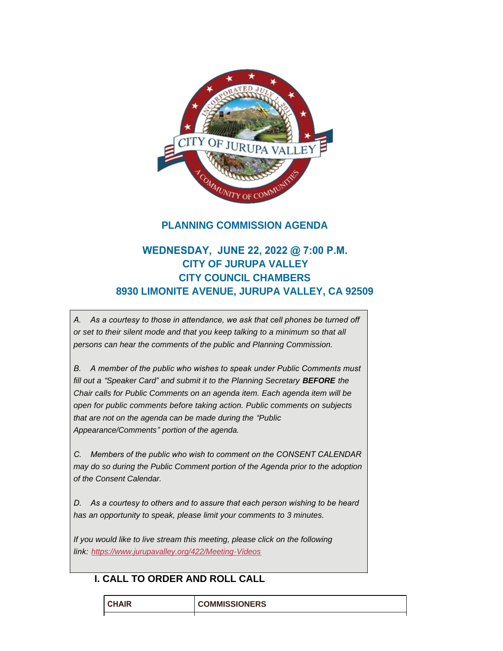

## **PLANNING COMMISSION AGENDA**

# **WEDNESDAY, JUNE 22, 2022 @ 7:00 P.M. CITY OF JURUPA VALLEY CITY COUNCIL CHAMBERS 8930 LIMONITE AVENUE, JURUPA VALLEY, CA 92509**

*A. As a courtesy to those in attendance, we ask that cell phones be turned off or set to their silent mode and that you keep talking to a minimum so that all persons can hear the comments of the public and Planning Commission.*

*B. A member of the public who wishes to speak under Public Comments must fill out a "Speaker Card" and submit it to the Planning Secretary BEFORE the Chair calls for Public Comments on an agenda item. Each agenda item will be open for public comments before taking action. Public comments on subjects that are not on the agenda can be made during the "Public Appearance/Comments" portion of the agenda.*

*C. Members of the public who wish to comment on the CONSENT CALENDAR may do so during the Public Comment portion of the Agenda prior to the adoption of the Consent Calendar.*

*D. As a courtesy to others and to assure that each person wishing to be heard has an opportunity to speak, please limit your comments to 3 minutes.*

*If you would like to live stream this meeting, please click on the following link: <https://www.jurupavalley.org/422/Meeting-Videos>*

## **I. CALL TO ORDER AND ROLL CALL**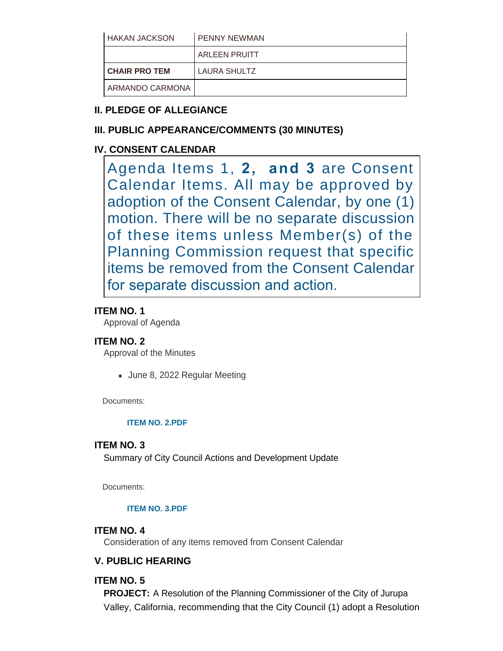| <b>HAKAN JACKSON</b> | <b>PENNY NEWMAN</b>  |
|----------------------|----------------------|
|                      | <b>ARLEEN PRUITT</b> |
| <b>CHAIR PRO TEM</b> | LAURA SHULTZ         |
|                      |                      |

# **II. PLEDGE OF ALLEGIANCE**

# **III. PUBLIC APPEARANCE/COMMENTS (30 MINUTES)**

# **IV. CONSENT CALENDAR**

Agenda Items 1, **2, and 3** are Consent Calendar Items. All may be approved by adoption of the Consent Calendar, by one (1) motion. There will be no separate discussion of these items unless Member(s) of the Planning Commission request that specific items be removed from the Consent Calendar for separate discussion and action.

## **ITEM NO. 1**

Approval of Agenda

## **ITEM NO. 2**

Approval of the Minutes

• June 8, 2022 Regular Meeting

Documents:

### **[ITEM NO. 2.PDF](https://www.jurupavalley.org/AgendaCenter/ViewFile/Item/775?fileID=699)**

## **ITEM NO. 3**

Summary of City Council Actions and Development Update

Documents:

### **[ITEM NO. 3.PDF](https://www.jurupavalley.org/AgendaCenter/ViewFile/Item/776?fileID=700)**

### **ITEM NO. 4**

Consideration of any items removed from Consent Calendar

# **V. PUBLIC HEARING**

## **ITEM NO. 5**

**PROJECT:** A Resolution of the Planning Commissioner of the City of Jurupa Valley, California, recommending that the City Council (1) adopt a Resolution